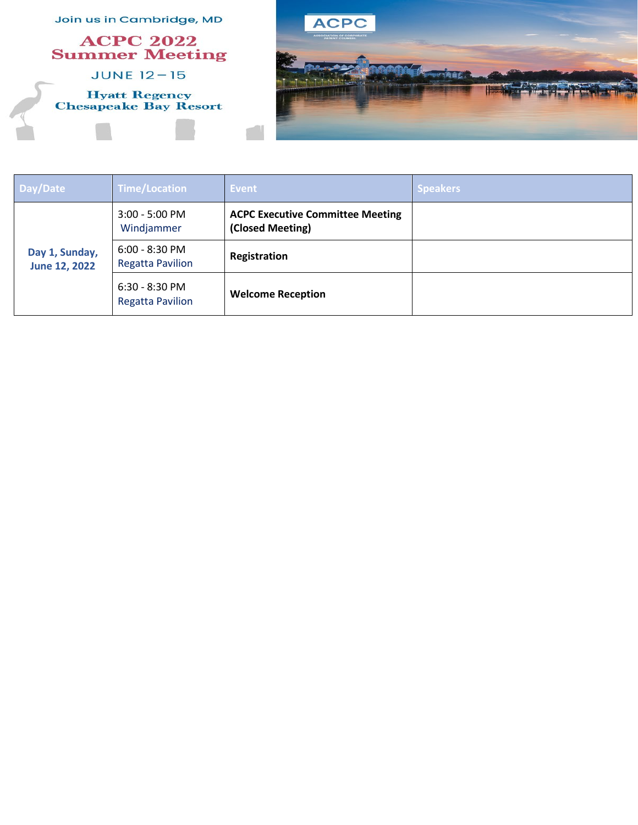

| Day/Date                        | <b>Time/Location</b>                        | Event                                                       | <b>Speakers</b> |
|---------------------------------|---------------------------------------------|-------------------------------------------------------------|-----------------|
| Day 1, Sunday,<br>June 12, 2022 | $3:00 - 5:00$ PM<br>Windjammer              | <b>ACPC Executive Committee Meeting</b><br>(Closed Meeting) |                 |
|                                 | $6:00 - 8:30$ PM<br><b>Regatta Pavilion</b> | Registration                                                |                 |
|                                 | $6:30 - 8:30$ PM<br><b>Regatta Pavilion</b> | <b>Welcome Reception</b>                                    |                 |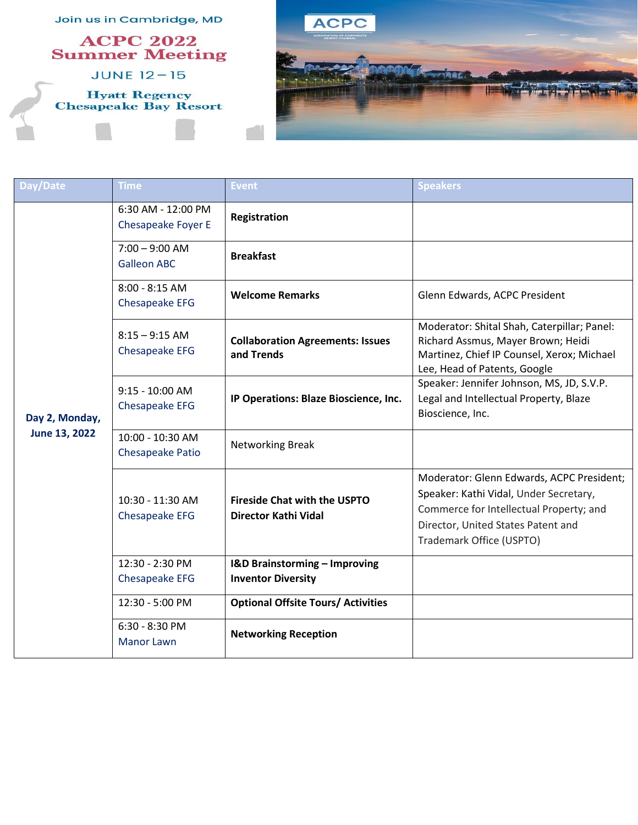

| Day/Date                        | Time                                        | Event                                                                 | <b>Speakers</b>                                                                                                                                                                                  |
|---------------------------------|---------------------------------------------|-----------------------------------------------------------------------|--------------------------------------------------------------------------------------------------------------------------------------------------------------------------------------------------|
| Day 2, Monday,<br>June 13, 2022 | 6:30 AM - 12:00 PM<br>Chesapeake Foyer E    | Registration                                                          |                                                                                                                                                                                                  |
|                                 | $7:00 - 9:00$ AM<br><b>Galleon ABC</b>      | <b>Breakfast</b>                                                      |                                                                                                                                                                                                  |
|                                 | $8:00 - 8:15$ AM<br>Chesapeake EFG          | <b>Welcome Remarks</b>                                                | Glenn Edwards, ACPC President                                                                                                                                                                    |
|                                 | $8:15 - 9:15$ AM<br>Chesapeake EFG          | <b>Collaboration Agreements: Issues</b><br>and Trends                 | Moderator: Shital Shah, Caterpillar; Panel:<br>Richard Assmus, Mayer Brown; Heidi<br>Martinez, Chief IP Counsel, Xerox; Michael<br>Lee, Head of Patents, Google                                  |
|                                 | 9:15 - 10:00 AM<br>Chesapeake EFG           | IP Operations: Blaze Bioscience, Inc.                                 | Speaker: Jennifer Johnson, MS, JD, S.V.P.<br>Legal and Intellectual Property, Blaze<br>Bioscience, Inc.                                                                                          |
|                                 | 10:00 - 10:30 AM<br><b>Chesapeake Patio</b> | Networking Break                                                      |                                                                                                                                                                                                  |
|                                 | 10:30 - 11:30 AM<br>Chesapeake EFG          | <b>Fireside Chat with the USPTO</b><br>Director Kathi Vidal           | Moderator: Glenn Edwards, ACPC President;<br>Speaker: Kathi Vidal, Under Secretary,<br>Commerce for Intellectual Property; and<br>Director, United States Patent and<br>Trademark Office (USPTO) |
|                                 | 12:30 - 2:30 PM<br>Chesapeake EFG           | <b>I&amp;D Brainstorming - Improving</b><br><b>Inventor Diversity</b> |                                                                                                                                                                                                  |
|                                 | 12:30 - 5:00 PM                             | <b>Optional Offsite Tours/ Activities</b>                             |                                                                                                                                                                                                  |
|                                 | $6:30 - 8:30 P M$<br><b>Manor Lawn</b>      | <b>Networking Reception</b>                                           |                                                                                                                                                                                                  |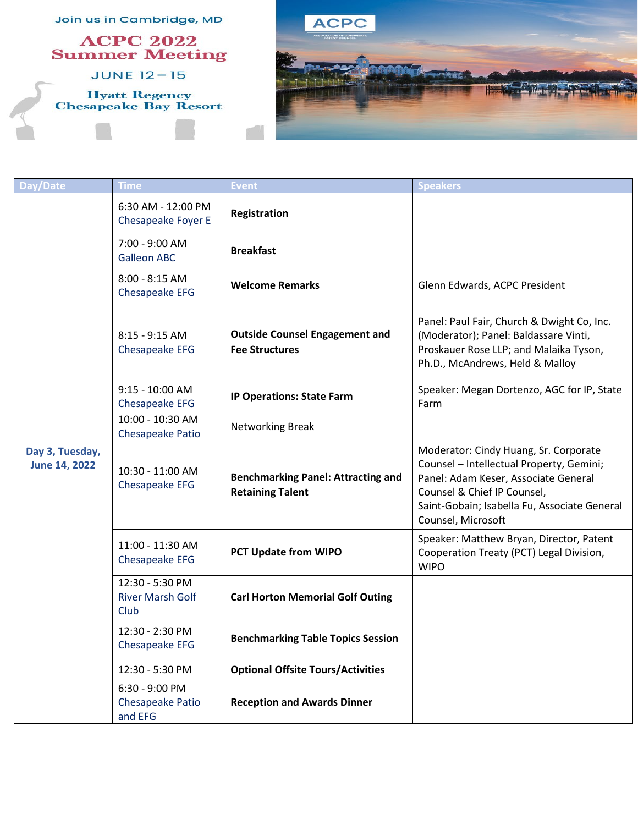

| Day/Date                                | <b>Time</b>                                        | <b>Event</b>                                                         | <b>Speakers</b>                                                                                                                                                                                                                |
|-----------------------------------------|----------------------------------------------------|----------------------------------------------------------------------|--------------------------------------------------------------------------------------------------------------------------------------------------------------------------------------------------------------------------------|
| Day 3, Tuesday,<br><b>June 14, 2022</b> | 6:30 AM - 12:00 PM<br>Chesapeake Foyer E           | Registration                                                         |                                                                                                                                                                                                                                |
|                                         | 7:00 - 9:00 AM<br><b>Galleon ABC</b>               | <b>Breakfast</b>                                                     |                                                                                                                                                                                                                                |
|                                         | $8:00 - 8:15$ AM<br>Chesapeake EFG                 | <b>Welcome Remarks</b>                                               | Glenn Edwards, ACPC President                                                                                                                                                                                                  |
|                                         | 8:15 - 9:15 AM<br>Chesapeake EFG                   | <b>Outside Counsel Engagement and</b><br><b>Fee Structures</b>       | Panel: Paul Fair, Church & Dwight Co, Inc.<br>(Moderator); Panel: Baldassare Vinti,<br>Proskauer Rose LLP; and Malaika Tyson,<br>Ph.D., McAndrews, Held & Malloy                                                               |
|                                         | $9:15 - 10:00$ AM<br>Chesapeake EFG                | <b>IP Operations: State Farm</b>                                     | Speaker: Megan Dortenzo, AGC for IP, State<br>Farm                                                                                                                                                                             |
|                                         | 10:00 - 10:30 AM<br>Chesapeake Patio               | <b>Networking Break</b>                                              |                                                                                                                                                                                                                                |
|                                         | 10:30 - 11:00 AM<br>Chesapeake EFG                 | <b>Benchmarking Panel: Attracting and</b><br><b>Retaining Talent</b> | Moderator: Cindy Huang, Sr. Corporate<br>Counsel - Intellectual Property, Gemini;<br>Panel: Adam Keser, Associate General<br>Counsel & Chief IP Counsel,<br>Saint-Gobain; Isabella Fu, Associate General<br>Counsel, Microsoft |
|                                         | 11:00 - 11:30 AM<br>Chesapeake EFG                 | PCT Update from WIPO                                                 | Speaker: Matthew Bryan, Director, Patent<br>Cooperation Treaty (PCT) Legal Division,<br><b>WIPO</b>                                                                                                                            |
|                                         | 12:30 - 5:30 PM<br><b>River Marsh Golf</b><br>Club | <b>Carl Horton Memorial Golf Outing</b>                              |                                                                                                                                                                                                                                |
|                                         | 12:30 - 2:30 PM<br><b>Chesapeake EFG</b>           | <b>Benchmarking Table Topics Session</b>                             |                                                                                                                                                                                                                                |
|                                         | 12:30 - 5:30 PM                                    | <b>Optional Offsite Tours/Activities</b>                             |                                                                                                                                                                                                                                |
|                                         | 6:30 - 9:00 PM<br>Chesapeake Patio<br>and EFG      | <b>Reception and Awards Dinner</b>                                   |                                                                                                                                                                                                                                |